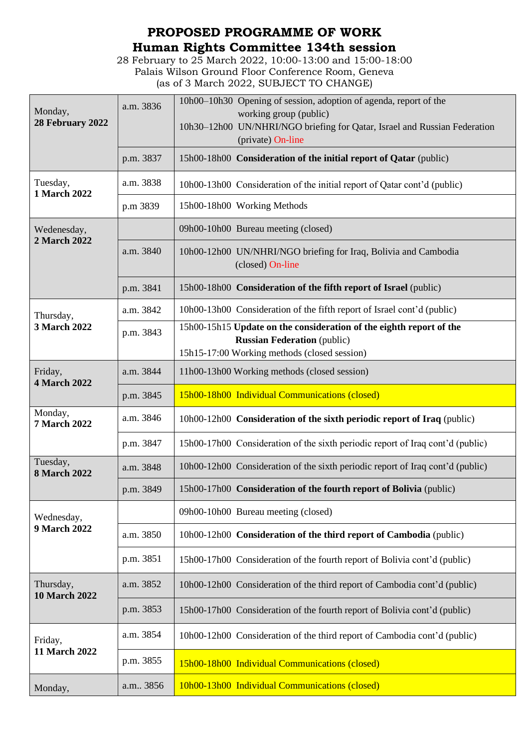## **PROPOSED PROGRAMME OF WORK Human Rights Committee 134th session**

28 February to 25 March 2022, 10:00-13:00 and 15:00-18:00 Palais Wilson Ground Floor Conference Room, Geneva (as of 3 March 2022, SUBJECT TO CHANGE)

| Monday,<br>28 February 2022     | a.m. 3836 | 10h00–10h30 Opening of session, adoption of agenda, report of the<br>working group (public)<br>10h30-12h00 UN/NHRI/NGO briefing for Qatar, Israel and Russian Federation<br>(private) On-line |
|---------------------------------|-----------|-----------------------------------------------------------------------------------------------------------------------------------------------------------------------------------------------|
|                                 | p.m. 3837 | 15h00-18h00 Consideration of the initial report of Qatar (public)                                                                                                                             |
| Tuesday,<br>1 March 2022        | a.m. 3838 | 10h00-13h00 Consideration of the initial report of Qatar cont'd (public)                                                                                                                      |
|                                 | p.m 3839  | 15h00-18h00 Working Methods                                                                                                                                                                   |
| Wedenesday,<br>2 March 2022     |           | 09h00-10h00 Bureau meeting (closed)                                                                                                                                                           |
|                                 | a.m. 3840 | 10h00-12h00 UN/NHRI/NGO briefing for Iraq, Bolivia and Cambodia<br>(closed) On-line                                                                                                           |
|                                 | p.m. 3841 | 15h00-18h00 Consideration of the fifth report of Israel (public)                                                                                                                              |
| Thursday,<br>3 March 2022       | a.m. 3842 | 10h00-13h00 Consideration of the fifth report of Israel cont'd (public)                                                                                                                       |
|                                 | p.m. 3843 | 15h00-15h15 Update on the consideration of the eighth report of the<br><b>Russian Federation</b> (public)<br>15h15-17:00 Working methods (closed session)                                     |
| Friday,<br><b>4 March 2022</b>  | a.m. 3844 | 11h00-13h00 Working methods (closed session)                                                                                                                                                  |
|                                 | p.m. 3845 | 15h00-18h00 Individual Communications (closed)                                                                                                                                                |
| Monday,<br><b>7 March 2022</b>  | a.m. 3846 | 10h00-12h00 Consideration of the sixth periodic report of Iraq (public)                                                                                                                       |
|                                 |           |                                                                                                                                                                                               |
|                                 | p.m. 3847 | 15h00-17h00 Consideration of the sixth periodic report of Iraq cont'd (public)                                                                                                                |
| Tuesday,<br><b>8 March 2022</b> | a.m. 3848 | 10h00-12h00 Consideration of the sixth periodic report of Iraq cont'd (public)                                                                                                                |
|                                 | p.m. 3849 | 15h00-17h00 Consideration of the fourth report of Bolivia (public)                                                                                                                            |
| Wednesday,                      |           | 09h00-10h00 Bureau meeting (closed)                                                                                                                                                           |
| 9 March 2022                    | a.m. 3850 | 10h00-12h00 Consideration of the third report of Cambodia (public)                                                                                                                            |
|                                 | p.m. 3851 | 15h00-17h00 Consideration of the fourth report of Bolivia cont'd (public)                                                                                                                     |
| Thursday,                       | a.m. 3852 | 10h00-12h00 Consideration of the third report of Cambodia cont'd (public)                                                                                                                     |
| <b>10 March 2022</b>            | p.m. 3853 | 15h00-17h00 Consideration of the fourth report of Bolivia cont'd (public)                                                                                                                     |
| Friday,                         | a.m. 3854 | 10h00-12h00 Consideration of the third report of Cambodia cont'd (public)                                                                                                                     |
| 11 March 2022                   | p.m. 3855 | 15h00-18h00 Individual Communications (closed)                                                                                                                                                |